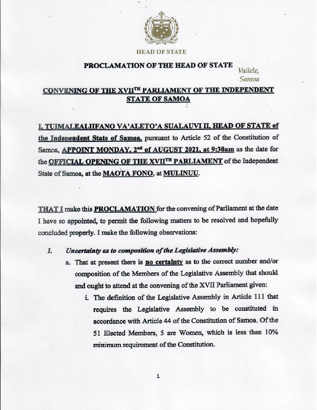

**HEAD OF STATE** 

#### **PROCLAMATION OF THE HEAD OF STATE**

Vailele.

# $\frac{1}{2}$ **STATE OF SAME OF**

# **I, TUIMALEALIIFANO VA'ALETO'A SUALAUVI II, HEAD OF STATE of the Independent State of Samoa,** pursuant to Article 52 of the Constitution of Samoa, **APPOINT MONDAY, 2<sup>nd</sup> of AUGUST 2021, at 9:30am** as the date for the **OFFICIAL OPENING OF THE XVIITH PARLIAMENT** of the Independent State of Samoa, at the **MAOTA FONO**, at **MULINUU**.

**THAT I** make this **PROCLAMATION** for the convening of Parliament at the date I have so appointed, to permit the following matters to be resolved and hopefully concluded properly. I make the following observations:

#### *1. Uncertainty as to composition of the Legislative Assembly:*

- a. That at present there is **no certainty** as to the correct number and/or composition of the Members of the Legislative Assembly that should and ought to attend at the convening of the XVII Parliament given:<br>i. The definition of the Legislative Assembly in Article 111 that
	- requires the Legislative Assembly to be constituted in accordance with Article 44 of the Constitution of Samoa. Of the 51 Elected Members, 5 are Women, which is less than 10% minimum requirement of the Constitution.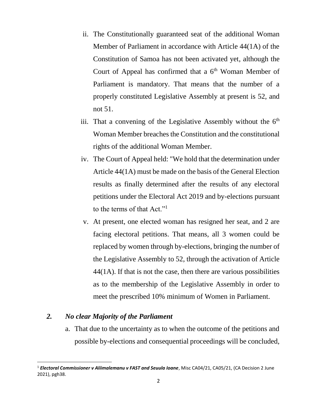- ii. The Constitutionally guaranteed seat of the additional Woman Member of Parliament in accordance with Article 44(1A) of the Constitution of Samoa has not been activated yet, although the Court of Appeal has confirmed that a  $6<sup>th</sup>$  Woman Member of Parliament is mandatory. That means that the number of a properly constituted Legislative Assembly at present is 52, and not 51.
- iii. That a convening of the Legislative Assembly without the  $6<sup>th</sup>$ Woman Member breaches the Constitution and the constitutional rights of the additional Woman Member.
- iv. The Court of Appeal held: "We hold that the determination under Article 44(1A) must be made on the basis of the General Election results as finally determined after the results of any electoral petitions under the Electoral Act 2019 and by-elections pursuant to the terms of that Act."<sup>1</sup>
- v. At present, one elected woman has resigned her seat, and 2 are facing electoral petitions. That means, all 3 women could be replaced by women through by-elections, bringing the number of the Legislative Assembly to 52, through the activation of Article 44(1A). If that is not the case, then there are various possibilities as to the membership of the Legislative Assembly in order to meet the prescribed 10% minimum of Women in Parliament.

## *2. No clear Majority of the Parliament*

 $\overline{\phantom{a}}$ 

a. That due to the uncertainty as to when the outcome of the petitions and possible by-elections and consequential proceedings will be concluded,

<sup>1</sup> *Electoral Commissioner v Aliimalemanu v FAST and Seuula Ioane*, Misc CA04/21, CA05/21, (CA Decision 2 June 2021), pgh38.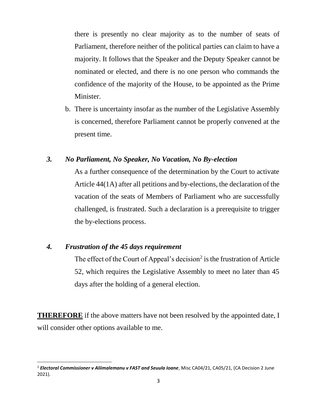there is presently no clear majority as to the number of seats of Parliament, therefore neither of the political parties can claim to have a majority. It follows that the Speaker and the Deputy Speaker cannot be nominated or elected, and there is no one person who commands the confidence of the majority of the House, to be appointed as the Prime Minister.

b. There is uncertainty insofar as the number of the Legislative Assembly is concerned, therefore Parliament cannot be properly convened at the present time.

### *3. No Parliament, No Speaker, No Vacation, No By-election*

As a further consequence of the determination by the Court to activate Article 44(1A) after all petitions and by-elections, the declaration of the vacation of the seats of Members of Parliament who are successfully challenged, is frustrated. Such a declaration is a prerequisite to trigger the by-elections process.

### *4. Frustration of the 45 days requirement*

 $\overline{\phantom{a}}$ 

The effect of the Court of Appeal's decision<sup>2</sup> is the frustration of Article 52, which requires the Legislative Assembly to meet no later than 45 days after the holding of a general election.

**THEREFORE** if the above matters have not been resolved by the appointed date, I will consider other options available to me.

<sup>2</sup> *Electoral Commissioner v Aliimalemanu v FAST and Seuula Ioane*, Misc CA04/21, CA05/21, (CA Decision 2 June 2021).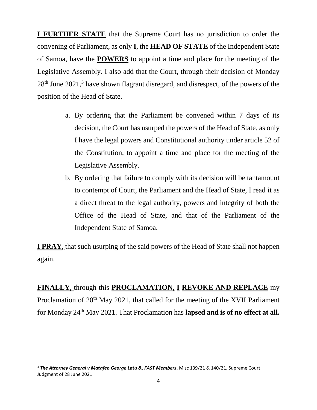**I FURTHER STATE** that the Supreme Court has no jurisdiction to order the convening of Parliament, as only **I**, the **HEAD OF STATE** of the Independent State of Samoa, have the **POWERS** to appoint a time and place for the meeting of the Legislative Assembly. I also add that the Court, through their decision of Monday 28<sup>th</sup> June 2021,<sup>3</sup> have shown flagrant disregard, and disrespect, of the powers of the position of the Head of State.

- a. By ordering that the Parliament be convened within 7 days of its decision, the Court has usurped the powers of the Head of State, as only I have the legal powers and Constitutional authority under article 52 of the Constitution, to appoint a time and place for the meeting of the Legislative Assembly.
- b. By ordering that failure to comply with its decision will be tantamount to contempt of Court, the Parliament and the Head of State, I read it as a direct threat to the legal authority, powers and integrity of both the Office of the Head of State, and that of the Parliament of the Independent State of Samoa.

**I PRAY**, that such usurping of the said powers of the Head of State shall not happen again.

**FINALLY,** through this **PROCLAMATION, I REVOKE AND REPLACE** my Proclamation of 20<sup>th</sup> May 2021, that called for the meeting of the XVII Parliament for Monday 24th May 2021. That Proclamation has **lapsed and is of no effect at all.**

 $\overline{\phantom{a}}$ 

<sup>3</sup> *The Attorney General v Matafeo George Latu &, FAST Members*, Misc 139/21 & 140/21, Supreme Court Judgment of 28 June 2021.